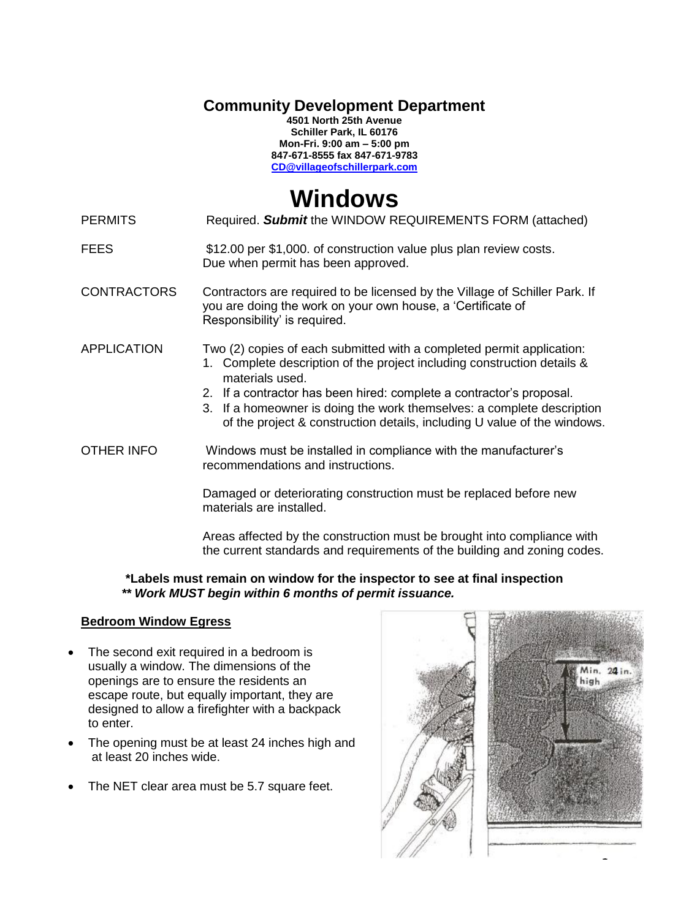**Community Development Department**

**4501 North 25th Avenue Schiller Park, IL 60176 Mon-Fri. 9:00 am – 5:00 pm 847-671-8555 fax 847-671-9783 [CD@villageofschillerpark.com](mailto:CD@villageofschillerpark.com)**

# **Windows**

PERMITS Required. **Submit** the WINDOW REQUIREMENTS FORM (attached)

#### FEES \$12.00 per \$1,000. of construction value plus plan review costs. Due when permit has been approved.

- CONTRACTORS Contractors are required to be licensed by the Village of Schiller Park. If you are doing the work on your own house, a 'Certificate of Responsibility' is required.
- APPLICATION Two (2) copies of each submitted with a completed permit application:
	- 1. Complete description of the project including construction details & materials used.
		- 2. If a contractor has been hired: complete a contractor's proposal.
		- 3. If a homeowner is doing the work themselves: a complete description of the project & construction details, including U value of the windows.

OTHER INFO Windows must be installed in compliance with the manufacturer's recommendations and instructions.

> Damaged or deteriorating construction must be replaced before new materials are installed.

Areas affected by the construction must be brought into compliance with the current standards and requirements of the building and zoning codes.

# **\*Labels must remain on window for the inspector to see at final inspection** *\*\* Work MUST begin within 6 months of permit issuance.*

# **Bedroom Window Egress**

- The second exit required in a bedroom is usually a window. The dimensions of the openings are to ensure the residents an escape route, but equally important, they are designed to allow a firefighter with a backpack to enter.
- The opening must be at least 24 inches high and at least 20 inches wide.
- The NET clear area must be 5.7 square feet.